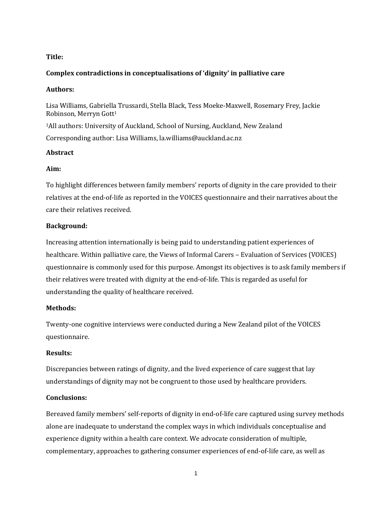## **Title:**

## **Complex contradictions in conceptualisations of 'dignity' in palliative care**

#### **Authors:**

Lisa Williams, Gabriella Trussardi, Stella Black, Tess Moeke-Maxwell, Rosemary Frey, Jackie Robinson, Merryn Gott<sup>1</sup>

<sup>1</sup>All authors: University of Auckland, School of Nursing, Auckland, New Zealand Corresponding author: Lisa Williams, la.williams@auckland.ac.nz

## **Abstract**

## **Aim:**

To highlight differences between family members' reports of dignity in the care provided to their relatives at the end-of-life as reported in the VOICES questionnaire and their narratives about the care their relatives received.

## **Background:**

Increasing attention internationally is being paid to understanding patient experiences of healthcare. Within palliative care, the Views of Informal Carers – Evaluation of Services (VOICES) questionnaire is commonly used for this purpose. Amongst its objectives is to ask family members if their relatives were treated with dignity at the end-of-life. This is regarded as useful for understanding the quality of healthcare received.

## **Methods:**

Twenty-one cognitive interviews were conducted during a New Zealand pilot of the VOICES questionnaire.

## **Results:**

Discrepancies between ratings of dignity, and the lived experience of care suggest that lay understandings of dignity may not be congruent to those used by healthcare providers.

## **Conclusions:**

Bereaved family members' self-reports of dignity in end-of-life care captured using survey methods alone are inadequate to understand the complex ways in which individuals conceptualise and experience dignity within a health care context. We advocate consideration of multiple, complementary, approaches to gathering consumer experiences of end-of-life care, as well as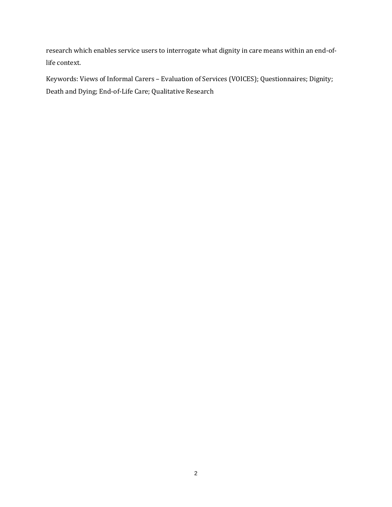research which enables service users to interrogate what dignity in care means within an end-oflife context.

Keywords: Views of Informal Carers – Evaluation of Services (VOICES); Questionnaires; Dignity; Death and Dying; End-of-Life Care; Qualitative Research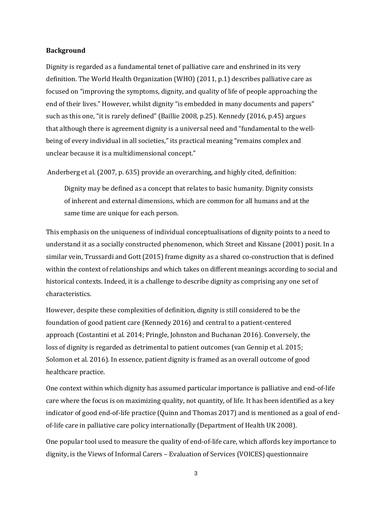#### **Background**

Dignity is regarded as a fundamental tenet of palliative care and enshrined in its very definition. The World Health Organization (WHO) (2011, p.1) describes palliative care as focused on "improving the symptoms, dignity, and quality of life of people approaching the end of their lives." However, whilst dignity "is embedded in many documents and papers" such as this one, "it is rarely defined" (Baillie 2008, p.25). Kennedy (2016, p.45) argues that although there is agreement dignity is a universal need and "fundamental to the wellbeing of every individual in all societies," its practical meaning "remains complex and unclear because it is a multidimensional concept."

Anderberg et al. (2007, p. 635) provide an overarching, and highly cited, definition:

Dignity may be defined as a concept that relates to basic humanity. Dignity consists of inherent and external dimensions, which are common for all humans and at the same time are unique for each person.

This emphasis on the uniqueness of individual conceptualisations of dignity points to a need to understand it as a socially constructed phenomenon, which Street and Kissane (2001) posit. In a similar vein, Trussardi and Gott (2015) frame dignity as a shared co-construction that is defined within the context of relationships and which takes on different meanings according to social and historical contexts. Indeed, it is a challenge to describe dignity as comprising any one set of characteristics.

However, despite these complexities of definition, dignity is still considered to be the foundation of good patient care (Kennedy 2016) and central to a patient-centered approach (Costantini et al. 2014; Pringle, Johnston and Buchanan 2016). Conversely, the loss of dignity is regarded as detrimental to patient outcomes (van Gennip et al. 2015; Solomon et al. 2016). In essence, patient dignity is framed as an overall outcome of good healthcare practice.

One context within which dignity has assumed particular importance is palliative and end-of-life care where the focus is on maximizing quality, not quantity, of life. It has been identified as a key indicator of good end-of-life practice (Quinn and Thomas 2017) and is mentioned as a goal of endof-life care in palliative care policy internationally (Department of Health UK 2008).

One popular tool used to measure the quality of end-of-life care, which affords key importance to dignity, is the Views of Informal Carers – Evaluation of Services (VOICES) questionnaire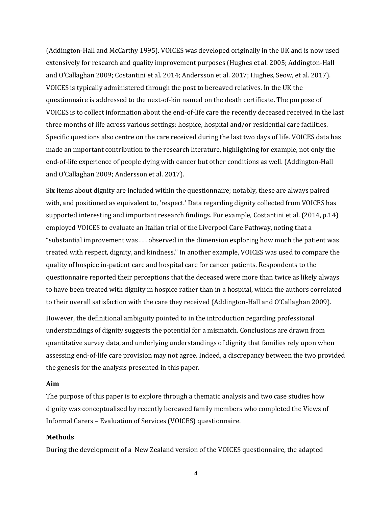(Addington-Hall and McCarthy 1995). VOICES was developed originally in the UK and is now used extensively for research and quality improvement purposes (Hughes et al. 2005; Addington-Hall and O'Callaghan 2009; Costantini et al. 2014; Andersson et al. 2017; Hughes, Seow, et al. 2017). VOICES is typically administered through the post to bereaved relatives. In the UK the questionnaire is addressed to the next-of-kin named on the death certificate. The purpose of VOICES is to collect information about the end-of-life care the recently deceased received in the last three months of life across various settings: hospice, hospital and/or residential care facilities. Specific questions also centre on the care received during the last two days of life. VOICES data has made an important contribution to the research literature, highlighting for example, not only the end-of-life experience of people dying with cancer but other conditions as well. (Addington-Hall and O'Callaghan 2009; Andersson et al. 2017).

Six items about dignity are included within the questionnaire; notably, these are always paired with, and positioned as equivalent to, 'respect.' Data regarding dignity collected from VOICES has supported interesting and important research findings. For example, Costantini et al. (2014, p.14) employed VOICES to evaluate an Italian trial of the Liverpool Care Pathway, noting that a "substantial improvement was . . . observed in the dimension exploring how much the patient was treated with respect, dignity, and kindness." In another example, VOICES was used to compare the quality of hospice in-patient care and hospital care for cancer patients. Respondents to the questionnaire reported their perceptions that the deceased were more than twice as likely always to have been treated with dignity in hospice rather than in a hospital, which the authors correlated to their overall satisfaction with the care they received (Addington-Hall and O'Callaghan 2009).

However, the definitional ambiguity pointed to in the introduction regarding professional understandings of dignity suggests the potential for a mismatch. Conclusions are drawn from quantitative survey data, and underlying understandings of dignity that families rely upon when assessing end-of-life care provision may not agree. Indeed, a discrepancy between the two provided the genesis for the analysis presented in this paper.

#### **Aim**

The purpose of this paper is to explore through a thematic analysis and two case studies how dignity was conceptualised by recently bereaved family members who completed the Views of Informal Carers – Evaluation of Services (VOICES) questionnaire.

#### **Methods**

During the development of a New Zealand version of the VOICES questionnaire, the adapted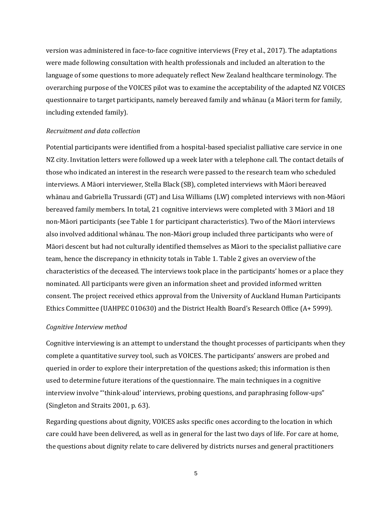version was administered in face-to-face cognitive interviews (Frey et al., 2017). The adaptations were made following consultation with health professionals and included an alteration to the language of some questions to more adequately reflect New Zealand healthcare terminology. The overarching purpose of the VOICES pilot was to examine the acceptability of the adapted NZ VOICES questionnaire to target participants, namely bereaved family and whānau (a Māori term for family, including extended family).

#### *Recruitment and data collection*

Potential participants were identified from a hospital-based specialist palliative care service in one NZ city. Invitation letters were followed up a week later with a telephone call. The contact details of those who indicated an interest in the research were passed to the research team who scheduled interviews. A Māori interviewer, Stella Black (SB), completed interviews with Māori bereaved whānau and Gabriella Trussardi (GT) and Lisa Williams (LW) completed interviews with non-Māori bereaved family members. In total, 21 cognitive interviews were completed with 3 Māori and 18 non-Māori participants (see Table 1 for participant characteristics). Two of the Māori interviews also involved additional whānau. The non-Māori group included three participants who were of Māori descent but had not culturally identified themselves as Māori to the specialist palliative care team, hence the discrepancy in ethnicity totals in Table 1. Table 2 gives an overview of the characteristics of the deceased. The interviews took place in the participants' homes or a place they nominated. All participants were given an information sheet and provided informed written consent. The project received ethics approval from the University of Auckland Human Participants Ethics Committee (UAHPEC 010630) and the District Health Board's Research Office (A+ 5999).

## *Cognitive Interview method*

Cognitive interviewing is an attempt to understand the thought processes of participants when they complete a quantitative survey tool, such as VOICES. The participants' answers are probed and queried in order to explore their interpretation of the questions asked; this information is then used to determine future iterations of the questionnaire. The main techniques in a cognitive interview involve "'think-aloud' interviews, probing questions, and paraphrasing follow-ups" (Singleton and Straits 2001, p. 63).

Regarding questions about dignity, VOICES asks specific ones according to the location in which care could have been delivered, as well as in general for the last two days of life. For care at home, the questions about dignity relate to care delivered by districts nurses and general practitioners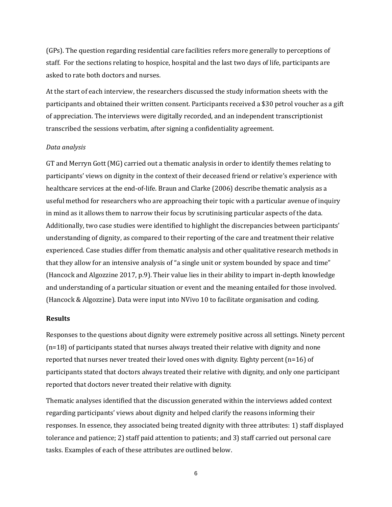(GPs). The question regarding residential care facilities refers more generally to perceptions of staff. For the sections relating to hospice, hospital and the last two days of life, participants are asked to rate both doctors and nurses.

At the start of each interview, the researchers discussed the study information sheets with the participants and obtained their written consent. Participants received a \$30 petrol voucher as a gift of appreciation. The interviews were digitally recorded, and an independent transcriptionist transcribed the sessions verbatim, after signing a confidentiality agreement.

#### *Data analysis*

GT and Merryn Gott (MG) carried out a thematic analysis in order to identify themes relating to participants' views on dignity in the context of their deceased friend or relative's experience with healthcare services at the end-of-life. Braun and Clarke (2006) describe thematic analysis as a useful method for researchers who are approaching their topic with a particular avenue of inquiry in mind as it allows them to narrow their focus by scrutinising particular aspects of the data. Additionally, two case studies were identified to highlight the discrepancies between participants' understanding of dignity, as compared to their reporting of the care and treatment their relative experienced. Case studies differ from thematic analysis and other qualitative research methods in that they allow for an intensive analysis of "a single unit or system bounded by space and time" (Hancock and Algozzine 2017, p.9). Their value lies in their ability to impart in-depth knowledge and understanding of a particular situation or event and the meaning entailed for those involved. (Hancock & Algozzine). Data were input into NVivo 10 to facilitate organisation and coding.

#### **Results**

Responses to the questions about dignity were extremely positive across all settings. Ninety percent (n=18) of participants stated that nurses always treated their relative with dignity and none reported that nurses never treated their loved ones with dignity. Eighty percent  $(n=16)$  of participants stated that doctors always treated their relative with dignity, and only one participant reported that doctors never treated their relative with dignity.

Thematic analyses identified that the discussion generated within the interviews added context regarding participants' views about dignity and helped clarify the reasons informing their responses. In essence, they associated being treated dignity with three attributes: 1) staff displayed tolerance and patience; 2) staff paid attention to patients; and 3) staff carried out personal care tasks. Examples of each of these attributes are outlined below.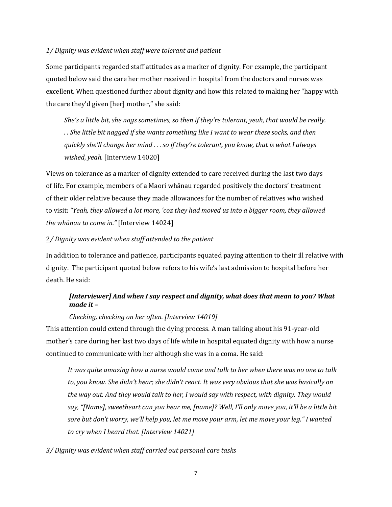#### *1/ Dignity was evident when staff were tolerant and patient*

Some participants regarded staff attitudes as a marker of dignity. For example, the participant quoted below said the care her mother received in hospital from the doctors and nurses was excellent. When questioned further about dignity and how this related to making her "happy with the care they'd given [her] mother," she said:

*She's a little bit, she nags sometimes, so then if they're tolerant, yeah, that would be really. . . She little bit nagged if she wants something like I want to wear these socks, and then quickly she'll change her mind . . . so if they're tolerant, you know, that is what I always wished, yeah.* [Interview 14020]

Views on tolerance as a marker of dignity extended to care received during the last two days of life. For example, members of a Maori whānau regarded positively the doctors' treatment of their older relative because they made allowances for the number of relatives who wished to visit: *"Yeah, they allowed a lot more, 'coz they had moved us into a bigger room, they allowed the whānau to come in."* [Interview 14024]

### 2*/ Dignity was evident when staff attended to the patient*

In addition to tolerance and patience, participants equated paying attention to their ill relative with dignity. The participant quoted below refers to his wife's last admission to hospital before her death. He said:

# *[Interviewer] And when I say respect and dignity, what does that mean to you? What made it –*

## *Checking, checking on her often. [Interview 14019]*

This attention could extend through the dying process. A man talking about his 91-year-old mother's care during her last two days of life while in hospital equated dignity with how a nurse continued to communicate with her although she was in a coma. He said:

*It was quite amazing how a nurse would come and talk to her when there was no one to talk to, you know. She didn't hear; she didn't react. It was very obvious that she was basically on the way out. And they would talk to her, I would say with respect, with dignity. They would say, "[Name], sweetheart can you hear me, [name]? Well, I'll only move you, it'll be a little bit sore but don't worry, we'll help you, let me move your arm, let me move your leg." I wanted to cry when I heard that. [Interview 14021]*

## *3/ Dignity was evident when staff carried out personal care tasks*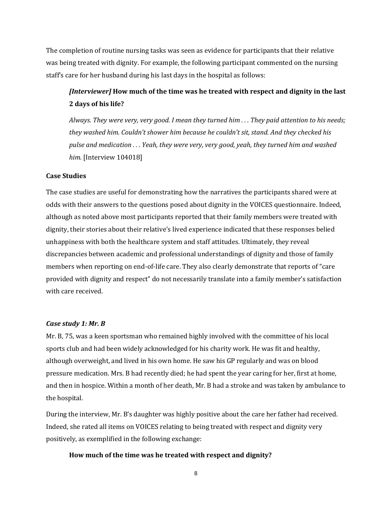The completion of routine nursing tasks was seen as evidence for participants that their relative was being treated with dignity. For example, the following participant commented on the nursing staff's care for her husband during his last days in the hospital as follows:

# *[Interviewer]* **How much of the time was he treated with respect and dignity in the last 2 days of his life?**

*Always. They were very, very good. I mean they turned him . . . They paid attention to his needs; they washed him. Couldn't shower him because he couldn't sit, stand. And they checked his pulse and medication . . . Yeah, they were very, very good, yeah, they turned him and washed him.* [Interview 104018]

## **Case Studies**

The case studies are useful for demonstrating how the narratives the participants shared were at odds with their answers to the questions posed about dignity in the VOICES questionnaire. Indeed, although as noted above most participants reported that their family members were treated with dignity, their stories about their relative's lived experience indicated that these responses belied unhappiness with both the healthcare system and staff attitudes. Ultimately, they reveal discrepancies between academic and professional understandings of dignity and those of family members when reporting on end-of-life care. They also clearly demonstrate that reports of "care provided with dignity and respect" do not necessarily translate into a family member's satisfaction with care received.

## *Case study 1: Mr. B*

Mr. B, 75, was a keen sportsman who remained highly involved with the committee of his local sports club and had been widely acknowledged for his charity work. He was fit and healthy, although overweight, and lived in his own home. He saw his GP regularly and was on blood pressure medication. Mrs. B had recently died; he had spent the year caring for her, first at home, and then in hospice. Within a month of her death, Mr. B had a stroke and was taken by ambulance to the hospital.

During the interview, Mr. B's daughter was highly positive about the care her father had received. Indeed, she rated all items on VOICES relating to being treated with respect and dignity very positively, as exemplified in the following exchange:

## **How much of the time was he treated with respect and dignity?**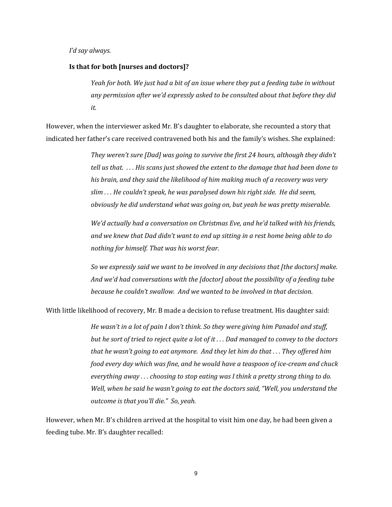*I'd say always.*

#### **Is that for both [nurses and doctors]?**

*Yeah for both. We just had a bit of an issue where they put a feeding tube in without any permission after we'd expressly asked to be consulted about that before they did it.*

However, when the interviewer asked Mr. B's daughter to elaborate, she recounted a story that indicated her father's care received contravened both his and the family's wishes. She explained:

> *They weren't sure [Dad] was going to survive the first 24 hours, although they didn't tell us that. . . . His scans just showed the extent to the damage that had been done to his brain, and they said the likelihood of him making much of a recovery was very slim . . . He couldn't speak, he was paralysed down his right side. He did seem, obviously he did understand what was going on, but yeah he was pretty miserable.*

*We'd actually had a conversation on Christmas Eve, and he'd talked with his friends, and we knew that Dad didn't want to end up sitting in a rest home being able to do nothing for himself. That was his worst fear.*

*So we expressly said we want to be involved in any decisions that [the doctors] make. And we'd had conversations with the [doctor] about the possibility of a feeding tube because he couldn't swallow. And we wanted to be involved in that decision.*

With little likelihood of recovery, Mr. B made a decision to refuse treatment. His daughter said:

*He wasn't in a lot of pain I don't think. So they were giving him Panadol and stuff, but he sort of tried to reject quite a lot of it . . . Dad managed to convey to the doctors that he wasn't going to eat anymore. And they let him do that . . . They offered him food every day which was fine, and he would have a teaspoon of ice-cream and chuck everything away . . . choosing to stop eating was I think a pretty strong thing to do. Well, when he said he wasn't going to eat the doctors said, "Well, you understand the outcome is that you'll die." So, yeah.*

However, when Mr. B's children arrived at the hospital to visit him one day, he had been given a feeding tube. Mr. B's daughter recalled: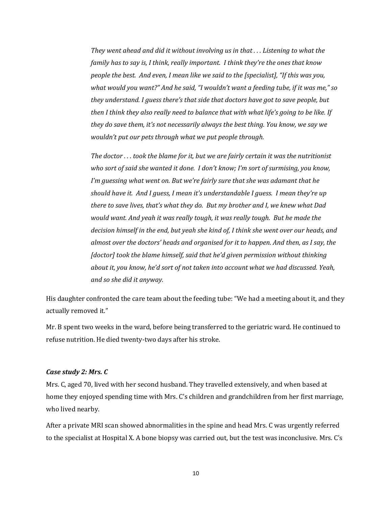*They went ahead and did it without involving us in that . . . Listening to what the family has to say is, I think, really important. I think they're the ones that know people the best. And even, I mean like we said to the [specialist], "If this was you, what would you want?" And he said, "I wouldn't want a feeding tube, if it was me," so they understand. I guess there's that side that doctors have got to save people, but then I think they also really need to balance that with what life's going to be like. If they do save them, it's not necessarily always the best thing. You know, we say we wouldn't put our pets through what we put people through.* 

*The doctor . . . took the blame for it, but we are fairly certain it was the nutritionist who sort of said she wanted it done. I don't know; I'm sort of surmising, you know, I'm guessing what went on. But we're fairly sure that she was adamant that he should have it. And I guess, I mean it's understandable I guess. I mean they're up there to save lives, that's what they do. But my brother and I, we knew what Dad would want. And yeah it was really tough, it was really tough. But he made the decision himself in the end, but yeah she kind of, I think she went over our heads, and almost over the doctors' heads and organised for it to happen. And then, as I say, the [doctor] took the blame himself, said that he'd given permission without thinking about it, you know, he'd sort of not taken into account what we had discussed. Yeah, and so she did it anyway.*

His daughter confronted the care team about the feeding tube: "We had a meeting about it, and they actually removed it."

Mr. B spent two weeks in the ward, before being transferred to the geriatric ward. He continued to refuse nutrition. He died twenty-two days after his stroke.

#### *Case study 2: Mrs. C*

Mrs. C, aged 70, lived with her second husband. They travelled extensively, and when based at home they enjoyed spending time with Mrs. C's children and grandchildren from her first marriage, who lived nearby.

After a private MRI scan showed abnormalities in the spine and head Mrs. C was urgently referred to the specialist at Hospital X. A bone biopsy was carried out, but the test was inconclusive. Mrs. C's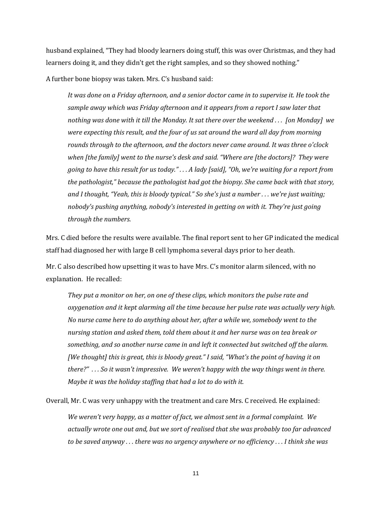husband explained, "They had bloody learners doing stuff, this was over Christmas, and they had learners doing it, and they didn't get the right samples, and so they showed nothing."

A further bone biopsy was taken. Mrs. C's husband said:

*It was done on a Friday afternoon, and a senior doctor came in to supervise it. He took the sample away which was Friday afternoon and it appears from a report I saw later that nothing was done with it till the Monday. It sat there over the weekend . . . [on Monday] we were expecting this result, and the four of us sat around the ward all day from morning rounds through to the afternoon, and the doctors never came around. It was three o'clock when [the family] went to the nurse's desk and said. "Where are [the doctors]? They were going to have this result for us today." . . . A lady [said], "Oh, we're waiting for a report from the pathologist," because the pathologist had got the biopsy. She came back with that story, and I thought, "Yeah, this is bloody typical." So she's just a number . . . we're just waiting; nobody's pushing anything, nobody's interested in getting on with it. They're just going through the numbers.*

Mrs. C died before the results were available. The final report sent to her GP indicated the medical staff had diagnosed her with large B cell lymphoma several days prior to her death.

Mr. C also described how upsetting it was to have Mrs. C's monitor alarm silenced, with no explanation. He recalled:

*They put a monitor on her, on one of these clips, which monitors the pulse rate and oxygenation and it kept alarming all the time because her pulse rate was actually very high. No nurse came here to do anything about her, after a while we, somebody went to the nursing station and asked them, told them about it and her nurse was on tea break or something, and so another nurse came in and left it connected but switched off the alarm. [We thought] this is great, this is bloody great." I said, "What's the point of having it on there?" . . . So it wasn't impressive. We weren't happy with the way things went in there. Maybe it was the holiday staffing that had a lot to do with it.* 

Overall, Mr. C was very unhappy with the treatment and care Mrs. C received. He explained:

*We weren't very happy, as a matter of fact, we almost sent in a formal complaint. We actually wrote one out and, but we sort of realised that she was probably too far advanced to be saved anyway . . . there was no urgency anywhere or no efficiency . . . I think she was*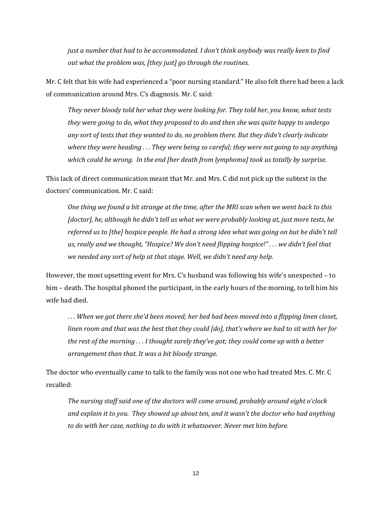*just a number that had to be accommodated. I don't think anybody was really keen to find out what the problem was, [they just] go through the routines.* 

Mr. C felt that his wife had experienced a "poor nursing standard." He also felt there had been a lack of communication around Mrs. C's diagnosis. Mr. C said:

*They never bloody told her what they were looking for. They told her, you know, what tests they were going to do, what they proposed to do and then she was quite happy to undergo any sort of tests that they wanted to do, no problem there. But they didn't clearly indicate where they were heading . . . They were being so careful; they were not going to say anything which could be wrong. In the end [her death from lymphoma] took us totally by surprise.*

This lack of direct communication meant that Mr. and Mrs. C did not pick up the subtext in the doctors' communication. Mr. C said:

*One thing we found a bit strange at the time, after the MRI scan when we went back to this [doctor], he, although he didn't tell us what we were probably looking at, just more tests, he referred us to [the] hospice people. He had a strong idea what was going on but he didn't tell us, really and we thought, "Hospice? We don't need flipping hospice!" . . . we didn't feel that we needed any sort of help at that stage. Well, we didn't need any help.*

However, the most upsetting event for Mrs. C's husband was following his wife's unexpected – to him – death. The hospital phoned the participant, in the early hours of the morning, to tell him his wife had died.

*. . . When we got there she'd been moved; her bed had been moved into a flipping linen closet, linen room and that was the best that they could [do], that's where we had to sit with her for the rest of the morning . . . I thought surely they've got; they could come up with a better arrangement than that. It was a bit bloody strange.*

The doctor who eventually came to talk to the family was not one who had treated Mrs. C. Mr. C recalled:

*The nursing staff said one of the doctors will come around, probably around eight o'clock and explain it to you. They showed up about ten, and it wasn't the doctor who had anything to do with her case, nothing to do with it whatsoever. Never met him before.*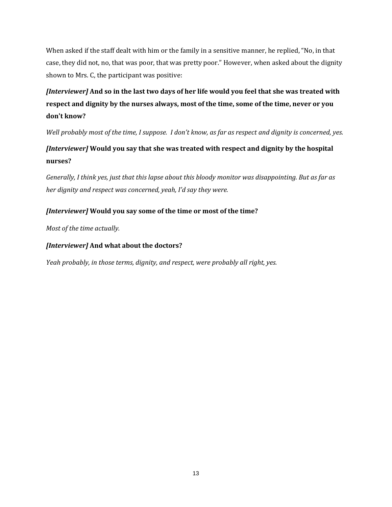When asked if the staff dealt with him or the family in a sensitive manner, he replied, "No, in that case, they did not, no, that was poor, that was pretty poor." However, when asked about the dignity shown to Mrs. C, the participant was positive:

# *[Interviewer]* **And so in the last two days of her life would you feel that she was treated with respect and dignity by the nurses always, most of the time, some of the time, never or you don't know?**

*Well probably most of the time, I suppose. I don't know, as far as respect and dignity is concerned, yes.*

# *[Interviewer]* **Would you say that she was treated with respect and dignity by the hospital nurses?**

*Generally, I think yes, just that this lapse about this bloody monitor was disappointing. But as far as her dignity and respect was concerned, yeah, I'd say they were.*

# *[Interviewer]* **Would you say some of the time or most of the time?**

*Most of the time actually.*

# *[Interviewer]* **And what about the doctors?**

*Yeah probably, in those terms, dignity, and respect, were probably all right, yes.*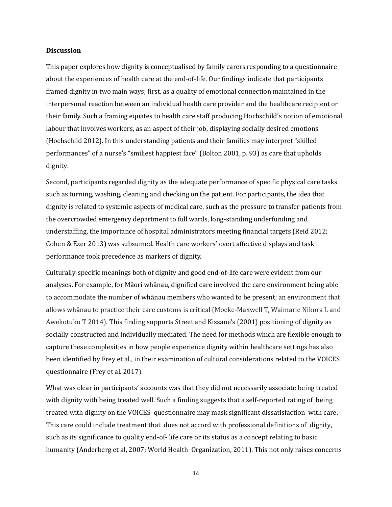#### **Discussion**

This paper explores how dignity is conceptualised by family carers responding to a questionnaire about the experiences of health care at the end-of-life. Our findings indicate that participants framed dignity in two main ways; first, as a quality of emotional connection maintained in the interpersonal reaction between an individual health care provider and the healthcare recipient or their family. Such a framing equates to health care staff producing Hochschild's notion of emotional labour that involves workers, as an aspect of their job, displaying socially desired emotions (Hochschild 2012). In this understanding patients and their families may interpret "skilled performances" of a nurse's "smiliest happiest face" (Bolton 2001, p. 93) as care that upholds dignity.

Second, participants regarded dignity as the adequate performance of specific physical care tasks such as turning, washing, cleaning and checking on the patient. For participants, the idea that dignity is related to systemic aspects of medical care, such as the pressure to transfer patients from the overcrowded emergency department to full wards, long-standing underfunding and understaffing, the importance of hospital administrators meeting financial targets (Reid 2012; Cohen & Ezer 2013) was subsumed. Health care workers' overt affective displays and task performance took precedence as markers of dignity.

Culturally-specific meanings both of dignity and good end-of-life care were evident from our analyses. For example, for Māori whānau, dignified care involved the care environment being able to accommodate the number of whānau members who wanted to be present; an environment that allows whānau to practice their care customs is critical (Moeke-Maxwell T, Waimarie Nikora L and Awekotuku T 2014). This finding supports Street and Kissane's (2001) positioning of dignity as socially constructed and individually mediated. The need for methods which are flexible enough to capture these complexities in how people experience dignity within healthcare settings has also been identified by Frey et al., in their examination of cultural considerations related to the VOICES questionnaire (Frey et al. 2017).

What was clear in participants' accounts was that they did not necessarily associate being treated with dignity with being treated well. Such a finding suggests that a self-reported rating of being treated with dignity on the VOICES questionnaire may mask significant dissatisfaction with care. This care could include treatment that does not accord with professional definitions of dignity, such as its significance to quality end-of- life care or its status as a concept relating to basic humanity (Anderberg et al, 2007; World Health Organization, 2011). This not only raises concerns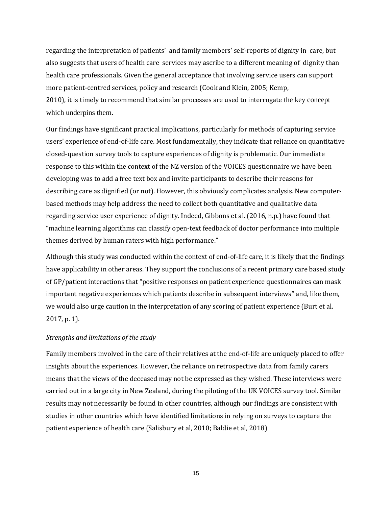regarding the interpretation of patients' and family members' self-reports of dignity in care, but also suggests that users of health care services may ascribe to a different meaning of dignity than health care professionals. Given the general acceptance that involving service users can support more patient-centred services, policy and research (Cook and Klein, 2005; Kemp, 2010), it is timely to recommend that similar processes are used to interrogate the key concept which underpins them.

Our findings have significant practical implications, particularly for methods of capturing service users' experience of end-of-life care. Most fundamentally, they indicate that reliance on quantitative closed-question survey tools to capture experiences of dignity is problematic. Our immediate response to this within the context of the NZ version of the VOICES questionnaire we have been developing was to add a free text box and invite participants to describe their reasons for describing care as dignified (or not). However, this obviously complicates analysis. New computerbased methods may help address the need to collect both quantitative and qualitative data regarding service user experience of dignity. Indeed, Gibbons et al. (2016, n.p.) have found that "machine learning algorithms can classify open-text feedback of doctor performance into multiple themes derived by human raters with high performance."

Although this study was conducted within the context of end-of-life care, it is likely that the findings have applicability in other areas. They support the conclusions of a recent primary care based study of GP/patient interactions that "positive responses on patient experience questionnaires can mask important negative experiences which patients describe in subsequent interviews" and, like them, we would also urge caution in the interpretation of any scoring of patient experience (Burt et al. 2017, p. 1).

#### *Strengths and limitations of the study*

Family members involved in the care of their relatives at the end-of-life are uniquely placed to offer insights about the experiences. However, the reliance on retrospective data from family carers means that the views of the deceased may not be expressed as they wished. These interviews were carried out in a large city in New Zealand, during the piloting of the UK VOICES survey tool. Similar results may not necessarily be found in other countries, although our findings are consistent with studies in other countries which have identified limitations in relying on surveys to capture the patient experience of health care (Salisbury et al, 2010; Baldie et al, 2018)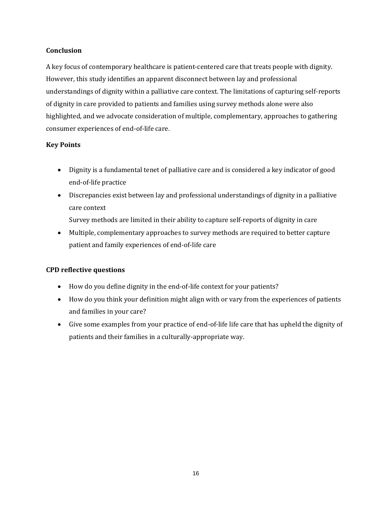## **Conclusion**

A key focus of contemporary healthcare is patient-centered care that treats people with dignity. However, this study identifies an apparent disconnect between lay and professional understandings of dignity within a palliative care context. The limitations of capturing self-reports of dignity in care provided to patients and families using survey methods alone were also highlighted, and we advocate consideration of multiple, complementary, approaches to gathering consumer experiences of end-of-life care.

# **Key Points**

- Dignity is a fundamental tenet of palliative care and is considered a key indicator of good end-of-life practice
- Discrepancies exist between lay and professional understandings of dignity in a palliative care context

Survey methods are limited in their ability to capture self-reports of dignity in care

 Multiple, complementary approaches to survey methods are required to better capture patient and family experiences of end-of-life care

# **CPD reflective questions**

- How do you define dignity in the end-of-life context for your patients?
- How do you think your definition might align with or vary from the experiences of patients and families in your care?
- Give some examples from your practice of end-of-life life care that has upheld the dignity of patients and their families in a culturally-appropriate way.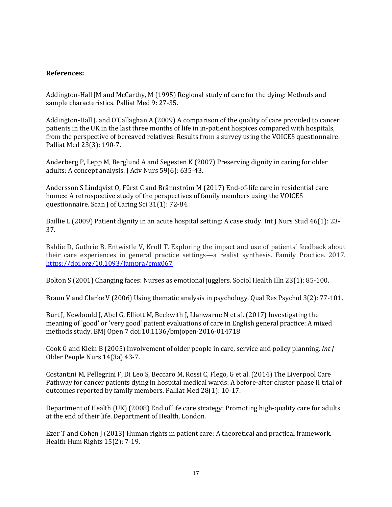## **References:**

Addington-Hall JM and McCarthy, M (1995) Regional study of care for the dying: Methods and sample characteristics. Palliat Med 9: 27-35.

Addington-Hall J. and O'Callaghan A (2009) A comparison of the quality of care provided to cancer patients in the UK in the last three months of life in in-patient hospices compared with hospitals, from the perspective of bereaved relatives: Results from a survey using the VOICES questionnaire. Palliat Med 23(3): 190-7.

Anderberg P, Lepp M, Berglund A and Segesten K (2007) Preserving dignity in caring for older adults: A concept analysis. J Adv Nurs 59(6): 635-43.

Andersson S Lindqvist O, Fürst C and Brännström M (2017) End-of-life care in residential care homes: A retrospective study of the perspectives of family members using the VOICES questionnaire. Scan J of Caring Sci 31(1): 72-84.

Baillie L (2009) Patient dignity in an acute hospital setting: A case study. Int J Nurs Stud 46(1): 23- 37.

Baldie D, Guthrie B, Entwistle V, Kroll T. Exploring the impact and use of patients' feedback about their care experiences in general practice settings—a realist synthesis. Family Practice. 2017. <https://doi.org/10.1093/fampra/cmx067>

Bolton S (2001) Changing faces: Nurses as emotional jugglers. Sociol Health Illn 23(1): 85-100.

Braun V and Clarke V (2006) Using thematic analysis in psychology. Qual Res Psychol 3(2): 77-101.

Burt J, Newbould J, Abel G, Elliott M, Beckwith J, Llanwarne N et al. (2017) Investigating the meaning of 'good' or 'very good' patient evaluations of care in English general practice: A mixed methods study. BMJ Open 7 doi:10.1136/bmjopen-2016-014718

Cook G and Klein B (2005) Involvement of older people in care, service and policy planning. *Int J*  Older People Nurs 14(3a) 43-7.

Costantini M, Pellegrini F, Di Leo S, Beccaro M, Rossi C, Flego, G et al. (2014) The Liverpool Care Pathway for cancer patients dying in hospital medical wards: A before-after cluster phase II trial of outcomes reported by family members. Palliat Med 28(1): 10-17.

Department of Health (UK) (2008) End of life care strategy: Promoting high-quality care for adults at the end of their life. Department of Health, London.

Ezer T and Cohen J (2013) Human rights in patient care: A theoretical and practical framework. Health Hum Rights 15(2): 7-19.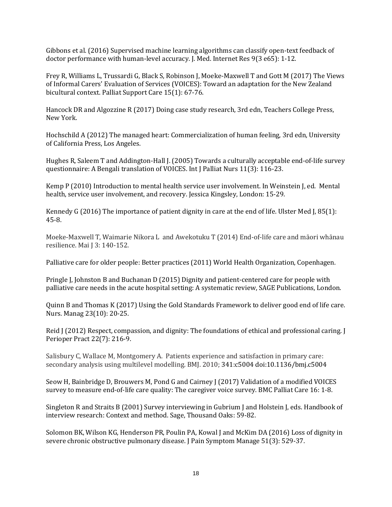Gibbons et al. (2016) Supervised machine learning algorithms can classify open-text feedback of doctor performance with human-level accuracy. J. Med. Internet Res 9(3 e65): 1-12.

Frey R, Williams L, Trussardi G, Black S, Robinson J, Moeke-Maxwell T and Gott M (2017) The Views of Informal Carers' Evaluation of Services (VOICES): Toward an adaptation for the New Zealand bicultural context. Palliat Support Care 15(1): 67-76.

Hancock DR and Algozzine R (2017) Doing case study research, 3rd edn, Teachers College Press, New York.

Hochschild A (2012) The managed heart: Commercialization of human feeling, 3rd edn, University of California Press, Los Angeles.

Hughes R, Saleem T and Addington-Hall J. (2005) Towards a culturally acceptable end-of-life survey questionnaire: A Bengali translation of VOICES. Int J Palliat Nurs 11(3): 116-23.

Kemp P (2010) Introduction to mental health service user involvement. In Weinstein J, ed. Mental health, service user involvement, and recovery. Jessica Kingsley, London: 15-29.

Kennedy G (2016) The importance of patient dignity in care at the end of life. Ulster Med J, 85(1): 45-8.

Moeke-Maxwell T, Waimarie Nikora L and Awekotuku T (2014) End-of-life care and māori whānau resilience. Mai J 3: 140-152.

Palliative care for older people: Better practices (2011) World Health Organization, Copenhagen.

Pringle J, Johnston B and Buchanan D (2015) Dignity and patient-centered care for people with palliative care needs in the acute hospital setting: A systematic review, SAGE Publications, London.

Quinn B and Thomas K (2017) Using the Gold Standards Framework to deliver good end of life care. Nurs. Manag 23(10): 20-25.

Reid J (2012) Respect, compassion, and dignity: The foundations of ethical and professional caring. J Perioper Pract 22(7): 216-9.

Salisbury C, Wallace M, Montgomery A. Patients experience and satisfaction in primary care: secondary analysis using multilevel modelling. BMJ. 2010; 341:c5004 doi:10.1136/bmj.c5004

Seow H, Bainbridge D, Brouwers M, Pond G and Cairney J (2017) Validation of a modified VOICES survey to measure end-of-life care quality: The caregiver voice survey. BMC Palliat Care 16: 1-8.

Singleton R and Straits B (2001) Survey interviewing in Gubrium J and Holstein J, eds. Handbook of interview research: Context and method. Sage, Thousand Oaks: 59-82.

Solomon BK, Wilson KG, Henderson PR, Poulin PA, Kowal J and McKim DA (2016) Loss of dignity in severe chronic obstructive pulmonary disease. J Pain Symptom Manage 51(3): 529-37.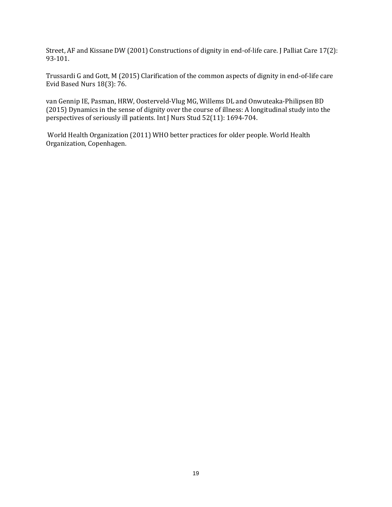Street, AF and Kissane DW (2001) Constructions of dignity in end-of-life care. J Palliat Care 17(2): 93-101.

Trussardi G and Gott, M (2015) Clarification of the common aspects of dignity in end-of-life care Evid Based Nurs 18(3): 76.

van Gennip IE, Pasman, HRW, Oosterveld-Vlug MG, Willems DL and Onwuteaka-Philipsen BD (2015) Dynamics in the sense of dignity over the course of illness: A longitudinal study into the perspectives of seriously ill patients. Int J Nurs Stud 52(11): 1694-704.

World Health Organization (2011) WHO better practices for older people. World Health Organization, Copenhagen.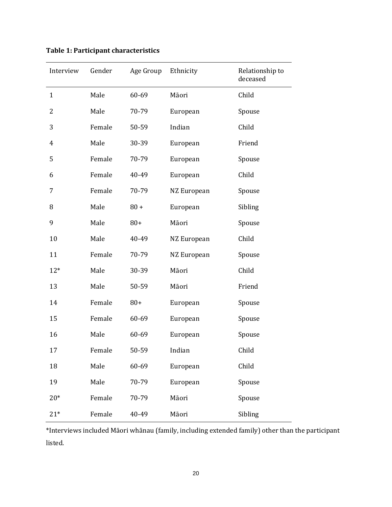| Interview    | Gender | Age Group Ethnicity |             | Relationship to<br>deceased |
|--------------|--------|---------------------|-------------|-----------------------------|
| $\mathbf{1}$ | Male   | 60-69               | Māori       | Child                       |
| 2            | Male   | 70-79               | European    | Spouse                      |
| 3            | Female | 50-59               | Indian      | Child                       |
| 4            | Male   | 30-39               | European    | Friend                      |
| 5            | Female | 70-79               | European    | Spouse                      |
| 6            | Female | 40-49               | European    | Child                       |
| 7            | Female | 70-79               | NZ European | Spouse                      |
| 8            | Male   | $80 +$              | European    | Sibling                     |
| 9            | Male   | $80+$               | Māori       | Spouse                      |
| 10           | Male   | 40-49               | NZ European | Child                       |
| 11           | Female | 70-79               | NZ European | Spouse                      |
| $12*$        | Male   | 30-39               | Māori       | Child                       |
| 13           | Male   | 50-59               | Māori       | Friend                      |
| 14           | Female | $80+$               | European    | Spouse                      |
| 15           | Female | 60-69               | European    | Spouse                      |
| 16           | Male   | 60-69               | European    | Spouse                      |
| 17           | Female | 50-59               | Indian      | Child                       |
| 18           | Male   | 60-69               | European    | Child                       |
| 19           | Male   | 70-79               | European    | Spouse                      |
| $20*$        | Female | 70-79               | Māori       | Spouse                      |
| $21*$        | Female | 40-49               | Māori       | Sibling                     |

**Table 1: Participant characteristics**

\*Interviews included Māori whānau (family, including extended family) other than the participant listed.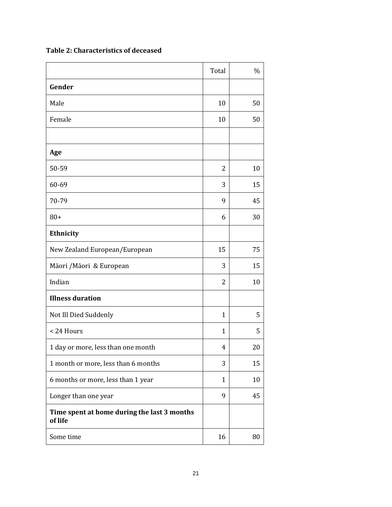**Table 2: Characteristics of deceased**

|                                                        | Total          | $\%$ |
|--------------------------------------------------------|----------------|------|
| Gender                                                 |                |      |
| Male                                                   | 10             | 50   |
| Female                                                 | 10             | 50   |
|                                                        |                |      |
| Age                                                    |                |      |
| 50-59                                                  | $\overline{2}$ | 10   |
| 60-69                                                  | 3              | 15   |
| 70-79                                                  | 9              | 45   |
| $80+$                                                  | 6              | 30   |
| Ethnicity                                              |                |      |
| New Zealand European/European                          | 15             | 75   |
| Māori / Māori & European                               | 3              | 15   |
| Indian                                                 | $\overline{2}$ | 10   |
| <b>Illness duration</b>                                |                |      |
| Not Ill Died Suddenly                                  | $\mathbf{1}$   | 5    |
| < 24 Hours                                             | $\mathbf{1}$   | 5    |
| 1 day or more, less than one month                     | 4              | 20   |
| 1 month or more, less than 6 months                    | 3              | 15   |
| 6 months or more, less than 1 year                     | $\mathbf{1}$   | 10   |
| Longer than one year                                   | 9              | 45   |
| Time spent at home during the last 3 months<br>of life |                |      |
| Some time                                              | 16             | 80   |